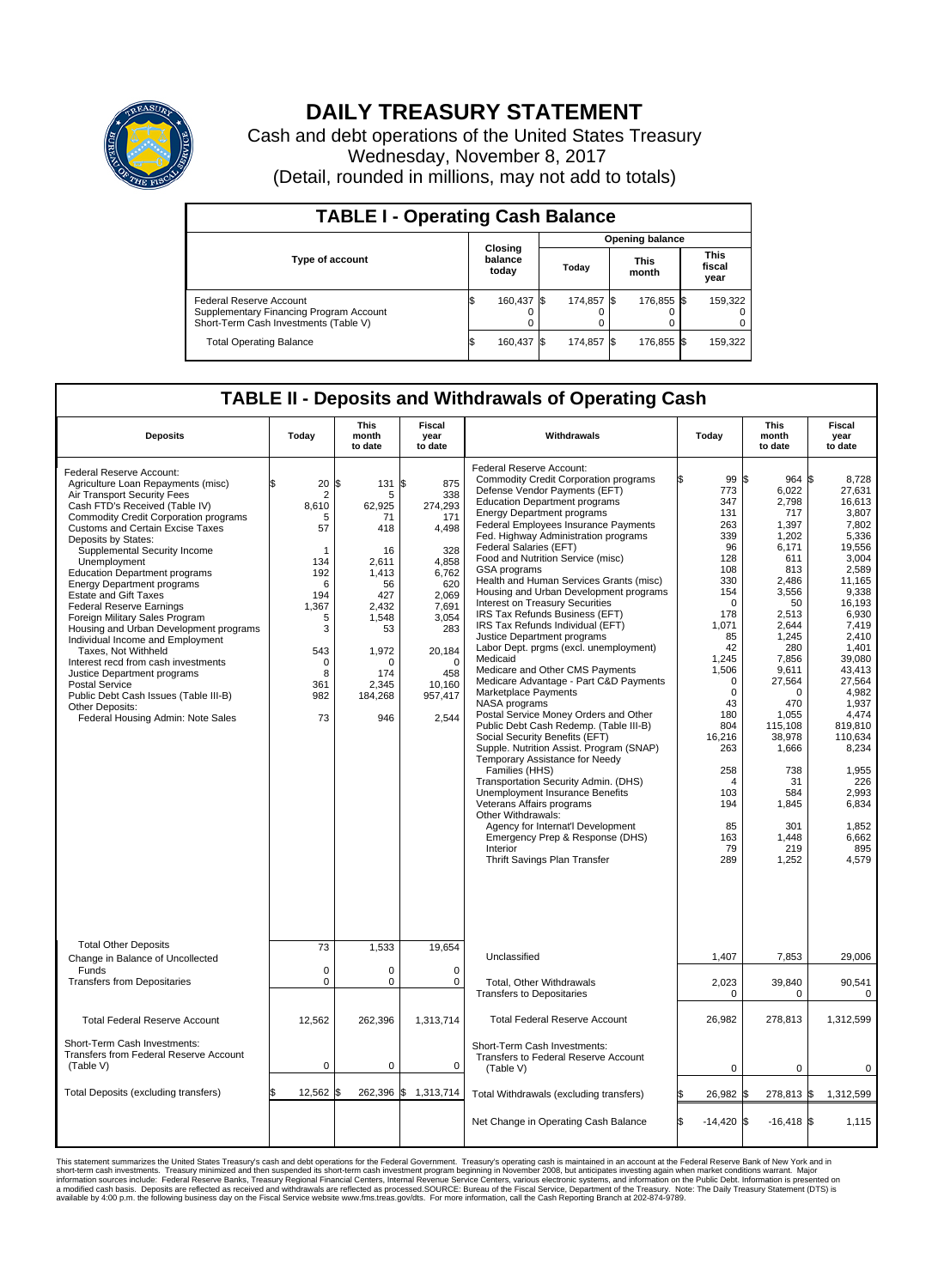

## **DAILY TREASURY STATEMENT**

Cash and debt operations of the United States Treasury Wednesday, November 8, 2017 (Detail, rounded in millions, may not add to totals)

| <b>TABLE I - Operating Cash Balance</b>                                                                     |  |                             |  |                        |  |                      |  |                               |  |  |  |
|-------------------------------------------------------------------------------------------------------------|--|-----------------------------|--|------------------------|--|----------------------|--|-------------------------------|--|--|--|
|                                                                                                             |  |                             |  | <b>Opening balance</b> |  |                      |  |                               |  |  |  |
| <b>Type of account</b>                                                                                      |  | Closing<br>balance<br>today |  | Today                  |  | <b>This</b><br>month |  | <b>This</b><br>fiscal<br>year |  |  |  |
| Federal Reserve Account<br>Supplementary Financing Program Account<br>Short-Term Cash Investments (Table V) |  | 160,437                     |  | 174.857 \$             |  | 176.855 \$           |  | 159,322                       |  |  |  |
| <b>Total Operating Balance</b>                                                                              |  | 160,437 \$                  |  | 174,857 \$             |  | 176,855 \$           |  | 159,322                       |  |  |  |

## **TABLE II - Deposits and Withdrawals of Operating Cash**

| <b>Deposits</b>                                                                                                                                                                                                                                                                                                                                                                                                                                                                                                                                                                                                                                                                                                                                                            | Today                                                                                                                                            | <b>This</b><br>month<br>to date                                                                                                                               | <b>Fiscal</b><br>year<br>to date                                                                                                                                      | Withdrawals                                                                                                                                                                                                                                                                                                                                                                                                                                                                                                                                                                                                                                                                                                                                                                                                                                                                                                                                                                                                                                                                                                                                                                                                                                         | Today                                                                                                                                                                                                                                                                             | This<br>month<br>to date                                                                                                                                                                                                                                                         | <b>Fiscal</b><br>year<br>to date                                                                                                                                                                                                                                                                              |  |  |
|----------------------------------------------------------------------------------------------------------------------------------------------------------------------------------------------------------------------------------------------------------------------------------------------------------------------------------------------------------------------------------------------------------------------------------------------------------------------------------------------------------------------------------------------------------------------------------------------------------------------------------------------------------------------------------------------------------------------------------------------------------------------------|--------------------------------------------------------------------------------------------------------------------------------------------------|---------------------------------------------------------------------------------------------------------------------------------------------------------------|-----------------------------------------------------------------------------------------------------------------------------------------------------------------------|-----------------------------------------------------------------------------------------------------------------------------------------------------------------------------------------------------------------------------------------------------------------------------------------------------------------------------------------------------------------------------------------------------------------------------------------------------------------------------------------------------------------------------------------------------------------------------------------------------------------------------------------------------------------------------------------------------------------------------------------------------------------------------------------------------------------------------------------------------------------------------------------------------------------------------------------------------------------------------------------------------------------------------------------------------------------------------------------------------------------------------------------------------------------------------------------------------------------------------------------------------|-----------------------------------------------------------------------------------------------------------------------------------------------------------------------------------------------------------------------------------------------------------------------------------|----------------------------------------------------------------------------------------------------------------------------------------------------------------------------------------------------------------------------------------------------------------------------------|---------------------------------------------------------------------------------------------------------------------------------------------------------------------------------------------------------------------------------------------------------------------------------------------------------------|--|--|
| Federal Reserve Account:<br>Agriculture Loan Repayments (misc)<br>Air Transport Security Fees<br>Cash FTD's Received (Table IV)<br>Commodity Credit Corporation programs<br>Customs and Certain Excise Taxes<br>Deposits by States:<br>Supplemental Security Income<br>Unemployment<br><b>Education Department programs</b><br><b>Energy Department programs</b><br><b>Estate and Gift Taxes</b><br><b>Federal Reserve Earnings</b><br>Foreign Military Sales Program<br>Housing and Urban Development programs<br>Individual Income and Employment<br>Taxes, Not Withheld<br>Interest recd from cash investments<br>Justice Department programs<br><b>Postal Service</b><br>Public Debt Cash Issues (Table III-B)<br>Other Deposits:<br>Federal Housing Admin: Note Sales | \$<br>20<br>$\overline{2}$<br>8,610<br>5<br>57<br>-1<br>134<br>192<br>6<br>194<br>1.367<br>5<br>3<br>543<br>$\mathbf 0$<br>8<br>361<br>982<br>73 | 131 \$<br>l\$<br>5<br>62,925<br>71<br>418<br>16<br>2.611<br>1,413<br>56<br>427<br>2.432<br>1,548<br>53<br>1,972<br>$\Omega$<br>174<br>2,345<br>184,268<br>946 | 875<br>338<br>274,293<br>171<br>4,498<br>328<br>4.858<br>6,762<br>620<br>2,069<br>7.691<br>3,054<br>283<br>20,184<br>$\mathbf 0$<br>458<br>10,160<br>957,417<br>2,544 | Federal Reserve Account:<br><b>Commodity Credit Corporation programs</b><br>Defense Vendor Payments (EFT)<br><b>Education Department programs</b><br><b>Energy Department programs</b><br><b>Federal Employees Insurance Payments</b><br>Fed. Highway Administration programs<br>Federal Salaries (EFT)<br>Food and Nutrition Service (misc)<br><b>GSA</b> programs<br>Health and Human Services Grants (misc)<br>Housing and Urban Development programs<br>Interest on Treasury Securities<br>IRS Tax Refunds Business (EFT)<br>IRS Tax Refunds Individual (EFT)<br>Justice Department programs<br>Labor Dept. prgms (excl. unemployment)<br>Medicaid<br>Medicare and Other CMS Payments<br>Medicare Advantage - Part C&D Payments<br>Marketplace Payments<br>NASA programs<br>Postal Service Money Orders and Other<br>Public Debt Cash Redemp. (Table III-B)<br>Social Security Benefits (EFT)<br>Supple. Nutrition Assist. Program (SNAP)<br>Temporary Assistance for Needy<br>Families (HHS)<br>Transportation Security Admin. (DHS)<br>Unemployment Insurance Benefits<br>Veterans Affairs programs<br>Other Withdrawals:<br>Agency for Internat'l Development<br>Emergency Prep & Response (DHS)<br>Interior<br>Thrift Savings Plan Transfer | 99 \$<br>ß.<br>773<br>347<br>131<br>263<br>339<br>96<br>128<br>108<br>330<br>154<br>$\mathbf 0$<br>178<br>1,071<br>85<br>42<br>1,245<br>1,506<br>$\mathbf 0$<br>$\mathbf 0$<br>43<br>180<br>804<br>16,216<br>263<br>258<br>$\overline{4}$<br>103<br>194<br>85<br>163<br>79<br>289 | $964$ \$<br>6,022<br>2,798<br>717<br>1,397<br>1,202<br>6.171<br>611<br>813<br>2,486<br>3,556<br>50<br>2,513<br>2,644<br>1,245<br>280<br>7,856<br>9,611<br>27,564<br>0<br>470<br>1.055<br>115,108<br>38,978<br>1,666<br>738<br>31<br>584<br>1,845<br>301<br>1,448<br>219<br>1,252 | 8,728<br>27,631<br>16,613<br>3.807<br>7,802<br>5,336<br>19.556<br>3,004<br>2.589<br>11,165<br>9,338<br>16,193<br>6.930<br>7,419<br>2.410<br>1,401<br>39,080<br>43,413<br>27,564<br>4,982<br>1,937<br>4.474<br>819,810<br>110,634<br>8,234<br>1,955<br>226<br>2.993<br>6,834<br>1,852<br>6,662<br>895<br>4.579 |  |  |
| <b>Total Other Deposits</b><br>Change in Balance of Uncollected<br>Funds<br><b>Transfers from Depositaries</b>                                                                                                                                                                                                                                                                                                                                                                                                                                                                                                                                                                                                                                                             | 73<br>$\mathbf 0$<br>$\pmb{0}$                                                                                                                   | 1,533<br>0<br>0                                                                                                                                               | 19,654<br>$\Omega$<br>0                                                                                                                                               | Unclassified<br>Total, Other Withdrawals<br><b>Transfers to Depositaries</b>                                                                                                                                                                                                                                                                                                                                                                                                                                                                                                                                                                                                                                                                                                                                                                                                                                                                                                                                                                                                                                                                                                                                                                        | 1,407<br>2,023<br>$\mathbf 0$                                                                                                                                                                                                                                                     | 7,853<br>39,840<br>0                                                                                                                                                                                                                                                             | 29,006<br>90,541<br>$\mathbf 0$                                                                                                                                                                                                                                                                               |  |  |
| <b>Total Federal Reserve Account</b>                                                                                                                                                                                                                                                                                                                                                                                                                                                                                                                                                                                                                                                                                                                                       | 12,562                                                                                                                                           | 262,396                                                                                                                                                       | 1,313,714                                                                                                                                                             | <b>Total Federal Reserve Account</b>                                                                                                                                                                                                                                                                                                                                                                                                                                                                                                                                                                                                                                                                                                                                                                                                                                                                                                                                                                                                                                                                                                                                                                                                                | 26,982                                                                                                                                                                                                                                                                            | 278,813                                                                                                                                                                                                                                                                          | 1,312,599                                                                                                                                                                                                                                                                                                     |  |  |
| Short-Term Cash Investments:<br><b>Transfers from Federal Reserve Account</b><br>(Table V)                                                                                                                                                                                                                                                                                                                                                                                                                                                                                                                                                                                                                                                                                 | $\mathbf 0$                                                                                                                                      | 0                                                                                                                                                             | 0                                                                                                                                                                     | Short-Term Cash Investments:<br>Transfers to Federal Reserve Account<br>(Table V)                                                                                                                                                                                                                                                                                                                                                                                                                                                                                                                                                                                                                                                                                                                                                                                                                                                                                                                                                                                                                                                                                                                                                                   | $\mathbf 0$                                                                                                                                                                                                                                                                       | 0                                                                                                                                                                                                                                                                                | 0                                                                                                                                                                                                                                                                                                             |  |  |
| Total Deposits (excluding transfers)                                                                                                                                                                                                                                                                                                                                                                                                                                                                                                                                                                                                                                                                                                                                       | 12,562<br>\$                                                                                                                                     | l\$                                                                                                                                                           | 262,396 \$ 1,313,714                                                                                                                                                  | Total Withdrawals (excluding transfers)                                                                                                                                                                                                                                                                                                                                                                                                                                                                                                                                                                                                                                                                                                                                                                                                                                                                                                                                                                                                                                                                                                                                                                                                             | 26,982 \$                                                                                                                                                                                                                                                                         | 278,813 \$                                                                                                                                                                                                                                                                       | 1,312,599                                                                                                                                                                                                                                                                                                     |  |  |
|                                                                                                                                                                                                                                                                                                                                                                                                                                                                                                                                                                                                                                                                                                                                                                            |                                                                                                                                                  |                                                                                                                                                               |                                                                                                                                                                       | Net Change in Operating Cash Balance                                                                                                                                                                                                                                                                                                                                                                                                                                                                                                                                                                                                                                                                                                                                                                                                                                                                                                                                                                                                                                                                                                                                                                                                                | ß<br>$-14,420$ \$                                                                                                                                                                                                                                                                 | $-16,418$ \$                                                                                                                                                                                                                                                                     | 1,115                                                                                                                                                                                                                                                                                                         |  |  |

This statement summarizes the United States Treasury's cash and debt operations for the Federal Government. Treasury soperating in November 2008, but anticiarde in a cocount at the Federal Reserve Bank of New York and in<br>s